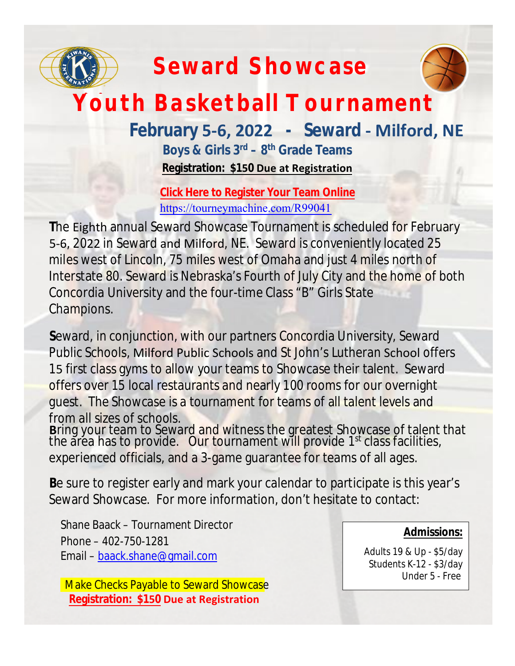

# **Seward Showcase**



# **Youth Basketball Tournament**

## **February 5-6, 2022 - Seward - Milford, NE**

**Boys & Girls 3rd – 8th Grade Teams Registration: \$150 Due at Registration** 

**Click Here to Register Your Team Online** <https://tourneymachine.com/R99041>

**T**he Eighth annual Seward Showcase Tournament is scheduled for February 5-6, 2022 in Seward and Milford, NE. Seward is conveniently located 25 miles west of Lincoln, 75 miles west of Omaha and just 4 miles north of Interstate 80. Seward is Nebraska's Fourth of July City and the home of both Concordia University and the four-time Class "B" Girls State Champions.

**S**eward, in conjunction, with our partners Concordia University, Seward Public Schools, Milford Public Schools and St John's Lutheran School offers 15 first class gyms to allow your teams to Showcase their talent. Seward offers over 15 local restaurants and nearly 100 rooms for our overnight guest. The Showcase is a tournament for teams of all talent levels and from all sizes of schools.

**B**ring your team to Seward and witness the greatest Showcase of talent that the area has to provide. Our tournament will provide 1<sup>st</sup> class facilities, experienced officials, and a 3-game guarantee for teams of all ages.

**B**e sure to register early and mark your calendar to participate is this year's Seward Showcase. For more information, don't hesitate to contact:

Shane Baack – Tournament Director Phone – 402-750-1281 Email – [baack.shane@gmail.com](mailto:baack.shane@gmail.com)

Make Checks Payable to Seward Showcase  **Registration: \$150 Due at Registration**

#### **Admissions:**

Adults 19 & Up - \$5/day Students K-12 - \$3/day Under 5 - Free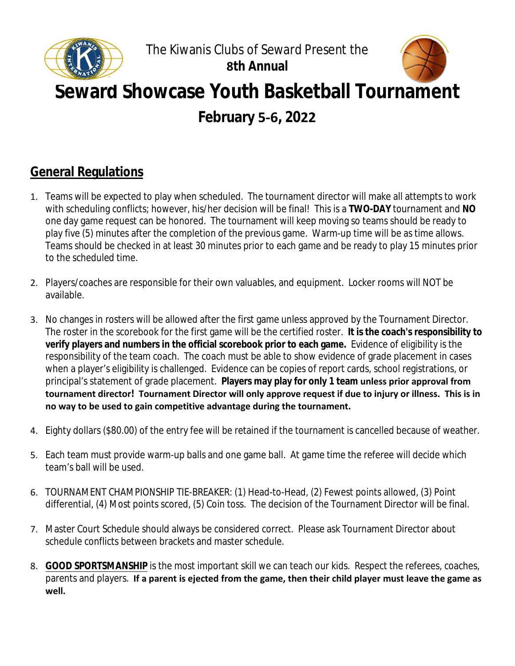



## **Seward Showcase Youth Basketball Tournament**

**February 5-6, 2022**

### **General Regulations**

- 1. Teams will be expected to play when scheduled. The tournament director will make all attempts to work with scheduling conflicts; however, his/her decision will be final! This is a **TWO-DAY** tournament and **NO** one day game request can be honored. The tournament will keep moving so teams should be ready to play five (5) minutes after the completion of the previous game. Warm-up time will be as time allows. Teams should be checked in at least 30 minutes prior to each game and be ready to play 15 minutes prior to the scheduled time.
- 2. Players/coaches are responsible for their own valuables, and equipment. Locker rooms will NOT be available.
- 3. No changes in rosters will be allowed after the first game unless approved by the Tournament Director. The roster in the scorebook for the first game will be the certified roster. **It is the coach's responsibility to verify players and numbers in the official scorebook prior to each game.** Evidence of eligibility is the responsibility of the team coach. The coach must be able to show evidence of grade placement in cases when a player's eligibility is challenged. Evidence can be copies of report cards, school registrations, or principal's statement of grade placement. **Players may play for only 1 team unless prior approval from tournament director! Tournament Director will only approve request if due to injury or illness. This is in no way to be used to gain competitive advantage during the tournament.**
- 4. Eighty dollars (\$80.00) of the entry fee will be retained if the tournament is cancelled because of weather.
- 5. Each team must provide warm-up balls and one game ball. At game time the referee will decide which team's ball will be used.
- 6. TOURNAMENT CHAMPIONSHIP TIE-BREAKER: (1) Head-to-Head, (2) Fewest points allowed, (3) Point differential, (4) Most points scored, (5) Coin toss. The decision of the Tournament Director will be final.
- 7. Master Court Schedule should always be considered correct. Please ask Tournament Director about schedule conflicts between brackets and master schedule.
- 8. **GOOD SPORTSMANSHIP** is the most important skill we can teach our kids. Respect the referees, coaches, parents and players. **If a parent is ejected from the game, then their child player must leave the game as well.**